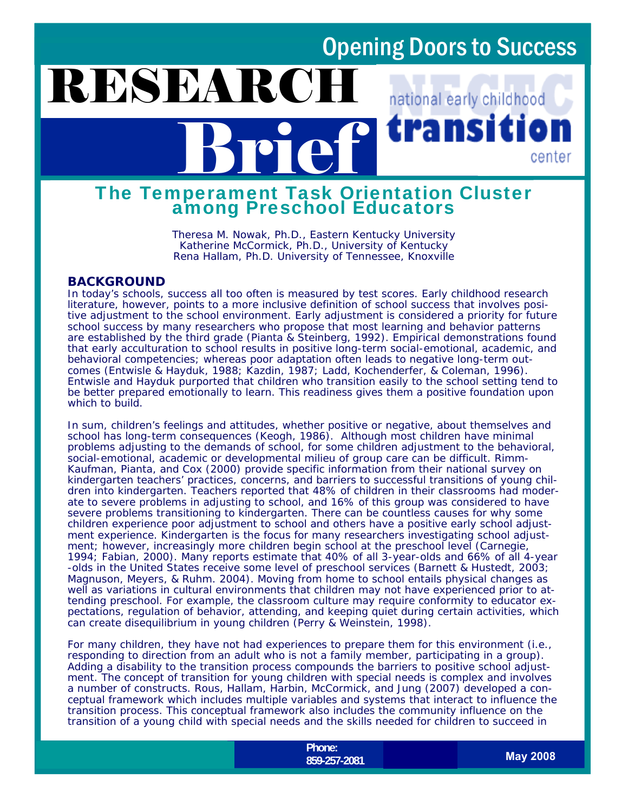national early childhood

center

ransit

# Brief The Temperament Task Orientation Cluster among Preschool Educators

*Theresa M. Nowak, Ph.D., Eastern Kentucky University Katherine McCormick, Ph.D., University of Kentucky Rena Hallam, Ph.D. University of Tennessee, Knoxville* 

#### **BACKGROUND**

RESEARC

In today's schools, success all too often is measured by test scores. Early childhood research literature, however, points to a more inclusive definition of school success that involves positive adjustment to the school environment. Early adjustment is considered a priority for future school success by many researchers who propose that most learning and behavior patterns are established by the third grade (Pianta & Steinberg, 1992). Empirical demonstrations found that early acculturation to school results in positive long-term social-emotional, academic, and behavioral competencies; whereas poor adaptation often leads to negative long-term outcomes (Entwisle & Hayduk, 1988; Kazdin, 1987; Ladd, Kochenderfer, & Coleman, 1996). Entwisle and Hayduk purported that children who transition easily to the school setting tend to be better prepared emotionally to learn. This readiness gives them a positive foundation upon which to build.

In sum, children's feelings and attitudes, whether positive or negative, about themselves and school has long-term consequences (Keogh, 1986). Although most children have minimal problems adjusting to the demands of school, for some children adjustment to the behavioral, social-emotional, academic or developmental milieu of group care can be difficult. Rimm-Kaufman, Pianta, and Cox (2000) provide specific information from their national survey on kindergarten teachers' practices, concerns, and barriers to successful transitions of young children into kindergarten. Teachers reported that 48% of children in their classrooms had moderate to severe problems in adjusting to school, and 16% of this group was considered to have severe problems transitioning to kindergarten. There can be countless causes for why some children experience poor adjustment to school and others have a positive early school adjustment experience. Kindergarten is the focus for many researchers investigating school adjustment; however, increasingly more children begin school at the preschool level (Carnegie, 1994; Fabian, 2000). Many reports estimate that 40% of all 3-year-olds and 66% of all 4-year -olds in the United States receive some level of preschool services (Barnett & Hustedt, 2003; Magnuson, Meyers, & Ruhm. 2004). Moving from home to school entails physical changes as well as variations in cultural environments that children may not have experienced prior to attending preschool. For example, the classroom culture may require conformity to educator expectations, regulation of behavior, attending, and keeping quiet during certain activities, which can create disequilibrium in young children (Perry & Weinstein, 1998).

For many children, they have not had experiences to prepare them for this environment (i.e., responding to direction from an adult who is not a family member, participating in a group). Adding a disability to the transition process compounds the barriers to positive school adjustment. The concept of transition for young children with special needs is complex and involves a number of constructs. Rous, Hallam, Harbin, McCormick, and Jung (2007) developed a conceptual framework which includes multiple variables and systems that interact to influence the transition process. This conceptual framework also includes the community influence on the transition of a young child with special needs and the skills needed for children to succeed in

> **Phone:**  http://www.hdi.uky.edu/nectc/nectc/ **859-257-2081**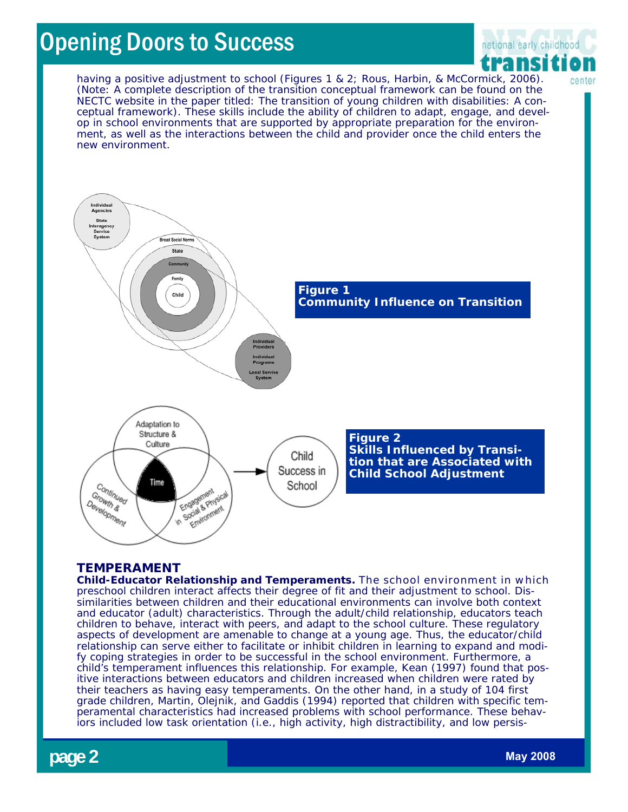

center

having a positive adjustment to school (Figures 1 & 2; Rous, Harbin, & McCormick, 2006). (Note: A complete description of the transition conceptual framework can be found on the NECTC website in the paper titled: *The transition of young children with disabilities: A conceptual framework).* These skills include the ability of children to adapt, engage, and develop in school environments that are supported by appropriate preparation for the environment, as well as the interactions between the child and provider once the child enters the new environment.



#### **TEMPERAMENT**

**Child-Educator Relationship and Temperaments.** The school environment in which preschool children interact affects their degree of fit and their adjustment to school. Dissimilarities between children and their educational environments can involve both context and educator (adult) characteristics. Through the adult/child relationship, educators teach children to behave, interact with peers, and adapt to the school culture. These regulatory aspects of development are amenable to change at a young age. Thus, the educator/child relationship can serve either to facilitate or inhibit children in learning to expand and modify coping strategies in order to be successful in the school environment. Furthermore, a child's temperament influences this relationship. For example, Kean (1997) found that positive interactions between educators and children increased when children were rated by their teachers as having easy temperaments. On the other hand, in a study of 104 first grade children, Martin, Olejnik, and Gaddis (1994) reported that children with specific temperamental characteristics had increased problems with school performance. These behaviors included low task orientation (i.e., high activity, high distractibility, and low persis-

**page 2 May 2008** *May 2008*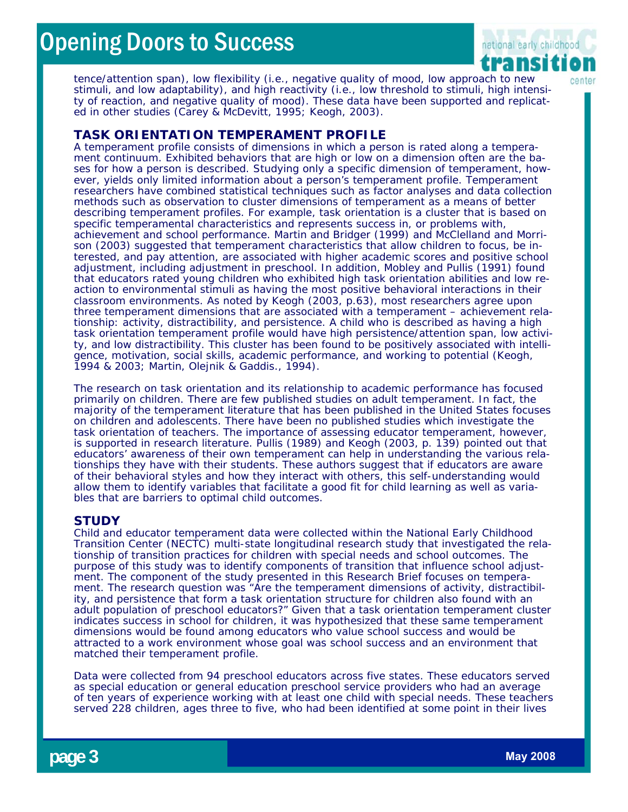

tence/attention span), low flexibility (i.e., negative quality of mood, low approach to new stimuli, and low adaptability), and high reactivity (i.e., low threshold to stimuli, high intensity of reaction, and negative quality of mood). These data have been supported and replicated in other studies (Carey & McDevitt, 1995; Keogh, 2003).

#### **TASK ORIENTATION TEMPERAMENT PROFILE**

A temperament profile consists of dimensions in which a person is rated along a temperament continuum. Exhibited behaviors that are high or low on a dimension often are the bases for how a person is described. Studying only a specific dimension of temperament, however, yields only limited information about a person's temperament profile. Temperament researchers have combined statistical techniques such as factor analyses and data collection methods such as observation to cluster dimensions of temperament as a means of better describing temperament profiles. For example, task orientation is a cluster that is based on specific temperamental characteristics and represents success in, or problems with, achievement and school performance. Martin and Bridger (1999) and McClelland and Morrison (2003) suggested that temperament characteristics that allow children to focus, be interested, and pay attention, are associated with higher academic scores and positive school adjustment, including adjustment in preschool. In addition, Mobley and Pullis (1991) found that educators rated young children who exhibited high task orientation abilities and low reaction to environmental stimuli as having the most positive behavioral interactions in their classroom environments. As noted by Keogh (2003, p.63), most researchers agree upon three temperament dimensions that are associated with a temperament – achievement relationship: activity, distractibility, and persistence. A child who is described as having a high task orientation temperament profile would have high persistence/attention span, low activity, and low distractibility. This cluster has been found to be positively associated with intelligence, motivation, social skills, academic performance, and working to potential (Keogh, 1994 & 2003; Martin, Olejnik & Gaddis., 1994).

The research on task orientation and its relationship to academic performance has focused primarily on children. There are few published studies on adult temperament. In fact, the majority of the temperament literature that has been published in the United States focuses on children and adolescents. There have been no published studies which investigate the task orientation of teachers. The importance of assessing educator temperament, however, is supported in research literature. Pullis (1989) and Keogh (2003, p. 139) pointed out that educators' awareness of their own temperament can help in understanding the various relationships they have with their students. These authors suggest that if educators are aware of their behavioral styles and how they interact with others, this self-understanding would allow them to identify variables that facilitate a good fit for child learning as well as variables that are barriers to optimal child outcomes.

#### **STUDY**

Child and educator temperament data were collected within the National Early Childhood Transition Center (NECTC) multi-state longitudinal research study that investigated the relationship of transition practices for children with special needs and school outcomes. The purpose of this study was to identify components of transition that influence school adjustment. The component of the study presented in this Research Brief focuses on temperament. The research question was "Are the temperament dimensions of activity, distractibility, and persistence that form a task orientation structure for children also found with an adult population of preschool educators?" Given that a task orientation temperament cluster indicates success in school for children, it was hypothesized that these same temperament dimensions would be found among educators who value school success and would be attracted to a work environment whose goal was school success and an environment that matched their temperament profile.

Data were collected from 94 preschool educators across five states. These educators served as special education or general education preschool service providers who had an average of ten years of experience working with at least one child with special needs. These teachers served 228 children, ages three to five, who had been identified at some point in their lives

**page 3 May 2008** *May 2008*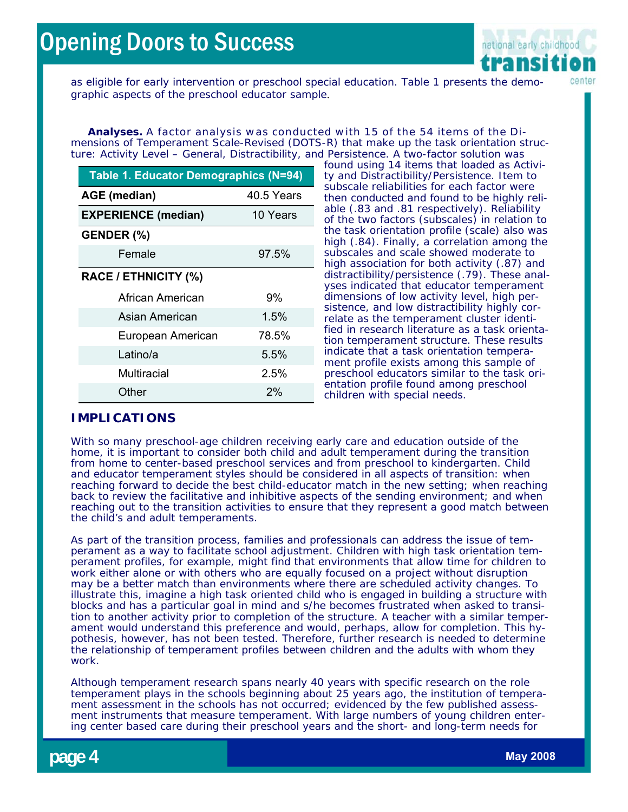

as eligible for early intervention or preschool special education. Table 1 presents the demographic aspects of the preschool educator sample.

**Analyses.** A factor analysis was conducted with 15 of the 54 items of the Dimensions of Temperament Scale-Revised (DOTS-R) that make up the task orientation structure: Activity Level – General, Distractibility, and Persistence. A two-factor solution was

| Table 1. Educator Demographics (N=94) |            |
|---------------------------------------|------------|
| <b>AGE</b> (median)                   | 40.5 Years |
| <b>EXPERIENCE (median)</b>            | 10 Years   |
| GENDER (%)                            |            |
| Female                                | 97.5%      |
| <b>RACE / ETHNICITY (%)</b>           |            |
| African American                      | 9%         |
| Asian American                        | 1.5%       |
| European American                     | 78.5%      |
| Latino/a                              | 5.5%       |
| Multiracial                           | 2.5%       |
| Other                                 | 2%         |

found using 14 items that loaded as Activity and Distractibility/Persistence. Item to subscale reliabilities for each factor were then conducted and found to be highly reliable (.83 and .81 respectively). Reliability of the two factors (subscales) in relation to the task orientation profile (scale) also was high (.84). Finally, a correlation among the subscales and scale showed moderate to high association for both activity (.87) and distractibility/persistence (.79). These analyses indicated that educator temperament dimensions of low activity level, high persistence, and low distractibility highly correlate as the temperament cluster identified in research literature as a task orientation temperament structure. These results indicate that a task orientation temperament profile exists among this sample of preschool educators similar to the task orientation profile found among preschool children with special needs.

#### **IMPLICATIONS**

With so many preschool-age children receiving early care and education outside of the home, it is important to consider both child and adult temperament during the transition from home to center-based preschool services and from preschool to kindergarten. Child and educator temperament styles should be considered in all aspects of transition: when reaching forward to decide the best child-educator match in the new setting; when reaching back to review the facilitative and inhibitive aspects of the sending environment; and when reaching out to the transition activities to ensure that they represent a good match between the child's and adult temperaments.

As part of the transition process, families and professionals can address the issue of temperament as a way to facilitate school adjustment. Children with high task orientation temperament profiles, for example, might find that environments that allow time for children to work either alone or with others who are equally focused on a project without disruption may be a better match than environments where there are scheduled activity changes. To illustrate this, imagine a high task oriented child who is engaged in building a structure with blocks and has a particular goal in mind and s/he becomes frustrated when asked to transition to another activity prior to completion of the structure. A teacher with a similar temperament would understand this preference and would, perhaps, allow for completion. This hypothesis, however, has not been tested. Therefore, further research is needed to determine the relationship of temperament profiles between children and the adults with whom they work.

Although temperament research spans nearly 40 years with specific research on the role temperament plays in the schools beginning about 25 years ago, the institution of temperament assessment in the schools has not occurred; evidenced by the few published assessment instruments that measure temperament. With large numbers of young children entering center based care during their preschool years and the short- and long-term needs for

**page 4** *May 2008 May 2008*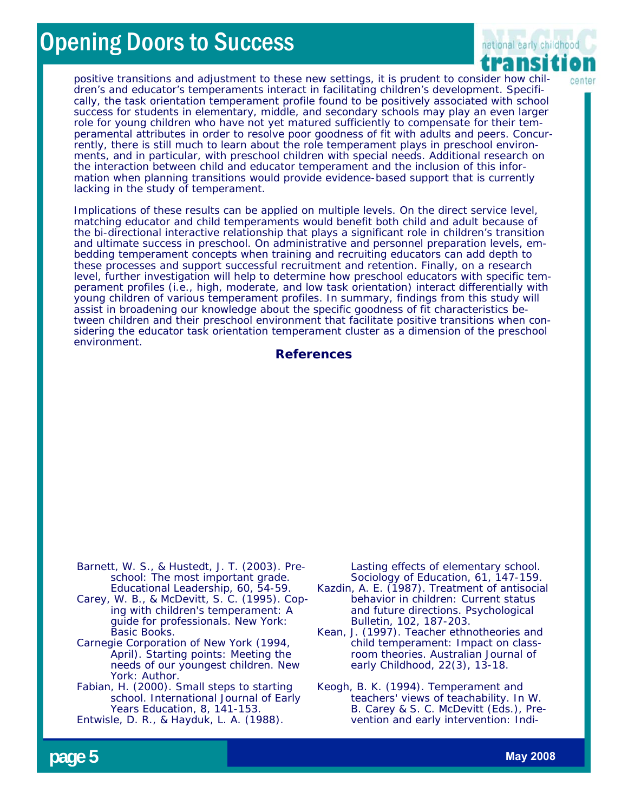

positive transitions and adjustment to these new settings, it is prudent to consider how children's and educator's temperaments interact in facilitating children's development. Specifically, the task orientation temperament profile found to be positively associated with school success for students in elementary, middle, and secondary schools may play an even larger role for young children who have not yet matured sufficiently to compensate for their temperamental attributes in order to resolve poor goodness of fit with adults and peers. Concurrently, there is still much to learn about the role temperament plays in preschool environments, and in particular, with preschool children with special needs. Additional research on the interaction between child and educator temperament and the inclusion of this information when planning transitions would provide evidence-based support that is currently lacking in the study of temperament.

Implications of these results can be applied on multiple levels. On the direct service level, matching educator and child temperaments would benefit both child and adult because of the bi-directional interactive relationship that plays a significant role in children's transition and ultimate success in preschool. On administrative and personnel preparation levels, embedding temperament concepts when training and recruiting educators can add depth to these processes and support successful recruitment and retention. Finally, on a research level, further investigation will help to determine how preschool educators with specific temperament profiles (i.e., high, moderate, and low task orientation) interact differentially with young children of various temperament profiles. In summary, findings from this study will assist in broadening our knowledge about the specific goodness of fit characteristics between children and their preschool environment that facilitate positive transitions when considering the educator task orientation temperament cluster as a dimension of the preschool environment.

#### **References**

Barnett, W. S., & Hustedt, J. T. (2003). Preschool: The most important grade. *Educational Leadership, 60,* 54-59.

Carey, W. B., & McDevitt, S. C. (1995). *Coping with children's temperament: A guide for professionals.* New York: Basic Books.

Carnegie Corporation of New York (1994, April). *Starting points: Meeting the needs of our youngest children.* New York: Author.

Fabian, H. (2000). Small steps to starting school. *International Journal of Early Years Education, 8,* 141-153.

Entwisle, D. R., & Hayduk, L. A. (1988).

Lasting effects of elementary school. *Sociology of Education, 61,* 147-159.

Kazdin, A. E. (1987). Treatment of antisocial behavior in children: Current status and future directions. *Psychological Bulletin, 102,* 187-203.

Kean, J. (1997). Teacher ethnotheories and child temperament: Impact on classroom theories. *Australian Journal of early Childhood, 22*(3), 13-18.

Keogh, B. K. (1994). Temperament and teachers' views of teachability. In W. B. Carey & S. C. McDevitt (Eds.), *Prevention and early intervention: Indi-*

**page 5 May 2008** *May 2008*